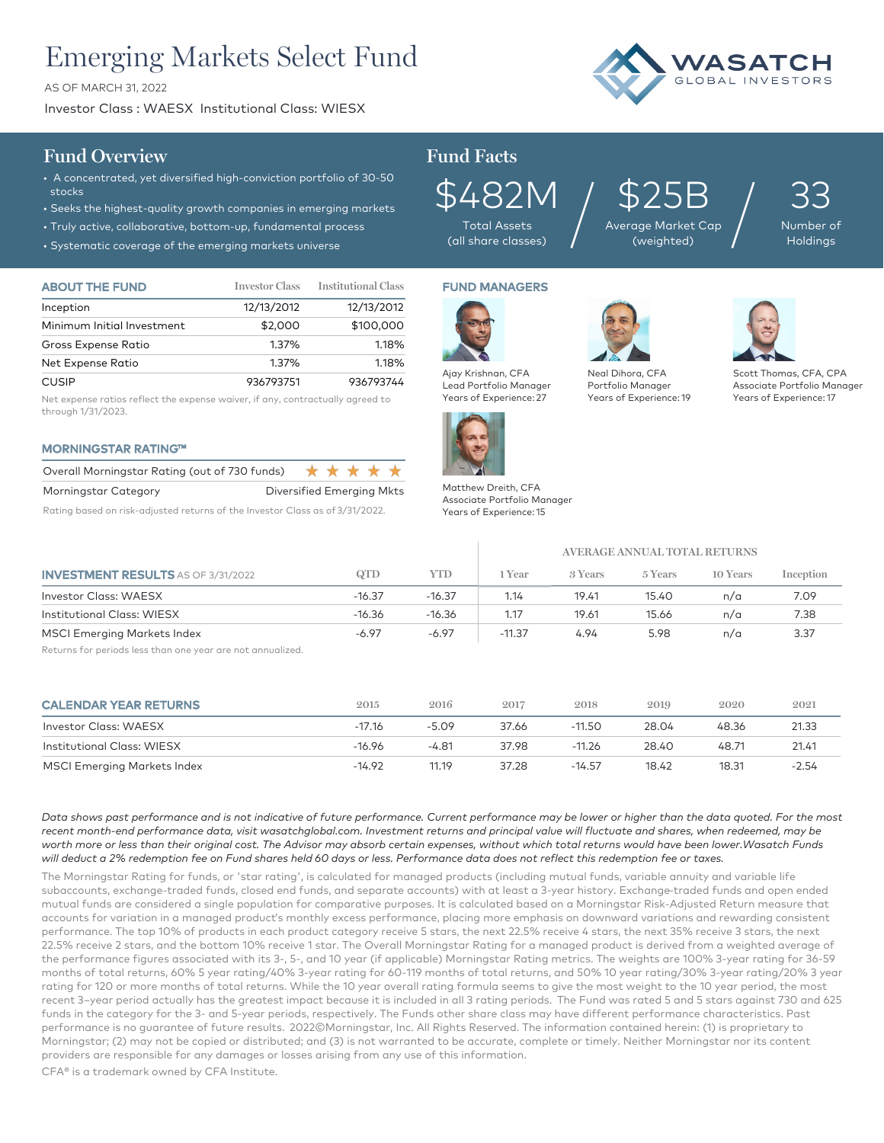# Emerging Markets Select Fund

AS OF MARCH 31, 2022

Investor Class : WAESX Institutional Class: WIESX



## **Fund Overview Fund Facts**

- A concentrated, yet diversified high-conviction portfolio of 30-50 stocks
- Seeks the highest-quality growth companies in emerging markets
- Truly active, collaborative, bottom-up, fundamental process
- Systematic coverage of the

| $\sim$ 373 corritation cover age of the emerging manded only cross |                       |                            |  |  |
|--------------------------------------------------------------------|-----------------------|----------------------------|--|--|
| <b>ABOUT THE FUND</b>                                              | <b>Investor Class</b> | <b>Institutional Class</b> |  |  |
| Inception                                                          | 12/13/2012            | 12/13/2012                 |  |  |
| Minimum Initial Investment                                         | \$2,000               | \$100,000                  |  |  |
| Gross Expense Ratio                                                | 1.37%                 | 1.18%                      |  |  |

| Net Expense Ratio | 1.37%     | 1.18%     |
|-------------------|-----------|-----------|
| <b>CUSIP</b>      | 936793751 | 936793744 |

Net expense ratios reflect the expense waiver, if any, contractually agreed to through 1/31/2023.

### MORNINGSTAR RATING™

| Overall Morningstar Rating (out of 730 funds) |                           | ***** |  |  |
|-----------------------------------------------|---------------------------|-------|--|--|
| Morningstar Category                          | Diversified Emerging Mkts |       |  |  |

Rating based on risk-adjusted returns of the Investor Class as of 3/31/2022.

 $$482M$  /  $$\overline{\phantom{.}}\atop\phantom{.}{\phantom{.}}}\hspace{1em}$   $\%$   $\overline{\phantom{.}}\phantom{.}{\phantom{.}}\hspace{1em}$ Total Assets

FUND MANAGERS

\$25B Average Market Cap  $\delta 25\mathrm{B}_{\tiny{\text{age Market Cap}}}\Big/$  33

Number of Holdings





Years of Experience: 19 Scott Thomas, CFA, CPA Associate Portfolio Manager Years of Experience: 17



Matthew Dreith, CFA Associate Portfolio Manager Years of Experience: 15

|                                                            |          |          | <b>AVERAGE ANNUAL TOTAL RETURNS</b> |         |         |          |           |
|------------------------------------------------------------|----------|----------|-------------------------------------|---------|---------|----------|-----------|
| <b>INVESTMENT RESULTS AS OF 3/31/2022</b>                  | QTD      | YTD      | 1 Year                              | 3 Years | 5 Years | 10 Years | Inception |
| <b>Investor Class: WAESX</b>                               | $-16.37$ | $-16.37$ | 1.14                                | 19.41   | 15.40   | n/a      | 7.09      |
| Institutional Class: WIESX                                 | $-16.36$ | $-16.36$ | 1.17                                | 19.61   | 15.66   | n/a      | 7.38      |
| <b>MSCI Emerging Markets Index</b>                         | $-6.97$  | $-6.97$  | $-11.37$                            | 4.94    | 5.98    | n/a      | 3.37      |
| Returns for periods less than one year are not annualized. |          |          |                                     |         |         |          |           |

| <b>CALENDAR YEAR RETURNS</b>       | 2015     | 2016    | 2017  | 2018     | 2019  | 2020  | 2021  |
|------------------------------------|----------|---------|-------|----------|-------|-------|-------|
| Investor Class: WAESX              | $-17.16$ | $-5.09$ | 37.66 | $-11.50$ | 28.04 | 48.36 | 21.33 |
| <b>Institutional Class: WIESX</b>  | $-16.96$ | -4.81   | 37.98 | $-11.26$ | 28.40 | 48.71 | 21.41 |
| <b>MSCI Emerging Markets Index</b> | $-14.92$ | 11.19   | 37.28 | $-14.57$ | 18.42 | 18.31 | -2.54 |

*Data shows past performance and is not indicative of future performance. Current performance may be lower or higher than the data quoted. For the most recent month-end performance data, visit wasatchglobal.com. Investment returns and principal value will fluctuate and shares, when redeemed, may be worth more or less than their original cost. The Advisor may absorb certain expenses, without which total returns would have been lower.Wasatch Funds will deduct a 2% redemption fee on Fund shares held 60 days or less. Performance data does not reflect this redemption fee or taxes.*

The Morningstar Rating for funds, or 'star rating', is calculated for managed products (including mutual funds, variable annuity and variable life subaccounts, exchange-traded funds, closed end funds, and separate accounts) with at least a 3-year history. Exchange–traded funds and open ended mutual funds are considered a single population for comparative purposes. It is calculated based on a Morningstar Risk-Adjusted Return measure that accounts for variation in a managed product's monthly excess performance, placing more emphasis on downward variations and rewarding consistent performance. The top 10% of products in each product category receive 5 stars, the next 22.5% receive 4 stars, the next 35% receive 3 stars, the next 22.5% receive 2 stars, and the bottom 10% receive 1 star. The Overall Morningstar Rating for a managed product is derived from a weighted average of the performance figures associated with its 3-, 5-, and 10 year (if applicable) Morningstar Rating metrics. The weights are 100% 3-year rating for 36-59 months of total returns, 60% 5 year rating/40% 3-year rating for 60-119 months of total returns, and 50% 10 year rating/30% 3-year rating/20% 3 year rating for 120 or more months of total returns. While the 10 year overall rating formula seems to give the most weight to the 10 year period, the most recent 3–year period actually has the greatest impact because it is included in all 3 rating periods. The Fund was rated 5 and 5 stars against 730 and 625 funds in the category for the 3- and 5-year periods, respectively. The Funds other share class may have different performance characteristics. Past performance is no guarantee of future results. 2022©Morningstar, Inc. All Rights Reserved. The information contained herein: (1) is proprietary to Morningstar; (2) may not be copied or distributed; and (3) is not warranted to be accurate, complete or timely. Neither Morningstar nor its content providers are responsible for any damages or losses arising from any use of this information.

CFA® is a trademark owned by CFA Institute.

Ajay Krishnan, CFA Lead Portfolio Manager Years of Experience: 27